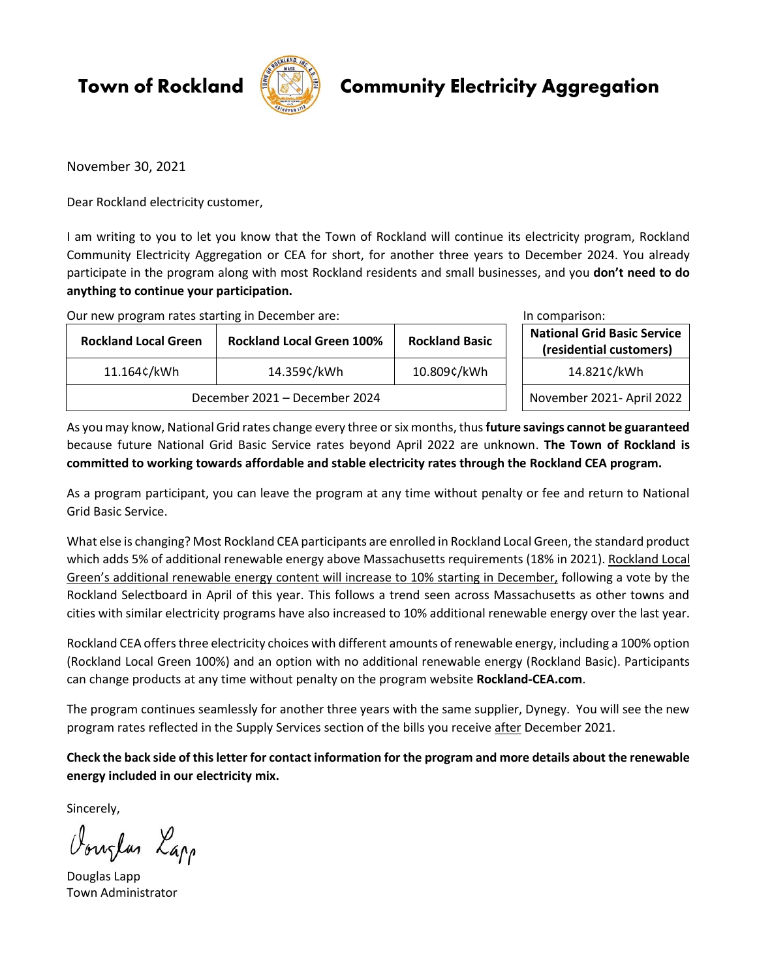**Town of Rockland** 



## **Community Electricity Aggregation**

November 30, 2021

Dear Rockland electricity customer,

I am writing to you to let you know that the Town of Rockland will continue its electricity program, Rockland Community Electricity Aggregation or CEA for short, for another three years to December 2024. You already participate in the program along with most Rockland residents and small businesses, and you **don't need to do anything to continue your participation.** 

Our new program rates starting in December are: In comparison: In comparison:

| <b>Rockland Local Green</b>   | <b>Rockland Local Green 100%</b> | <b>Rockland Basic</b> | <b>National Grid Basic Service</b><br>(residential customers) |
|-------------------------------|----------------------------------|-----------------------|---------------------------------------------------------------|
| 11.164¢/kWh                   | 14.359¢/kWh                      | 10.809¢/kWh           | 14.821¢/kWh                                                   |
| December 2021 - December 2024 |                                  |                       | November 2021- April 2022                                     |

As you may know, National Grid rates change every three or six months, thus **future savings cannot be guaranteed** because future National Grid Basic Service rates beyond April 2022 are unknown. **The Town of Rockland is committed to working towards affordable and stable electricity rates through the Rockland CEA program.**

As a program participant, you can leave the program at any time without penalty or fee and return to National Grid Basic Service.

What else is changing? Most Rockland CEA participants are enrolled in Rockland Local Green, the standard product which adds 5% of additional renewable energy above Massachusetts requirements (18% in 2021). Rockland Local Green's additional renewable energy content will increase to 10% starting in December, following a vote by the Rockland Selectboard in April of this year. This follows a trend seen across Massachusetts as other towns and cities with similar electricity programs have also increased to 10% additional renewable energy over the last year.

Rockland CEA offers three electricity choices with different amounts of renewable energy, including a 100% option (Rockland Local Green 100%) and an option with no additional renewable energy (Rockland Basic). Participants can change products at any time without penalty on the program website **Rockland-CEA.com**.

The program continues seamlessly for another three years with the same supplier, Dynegy. You will see the new program rates reflected in the Supply Services section of the bills you receive after December 2021.

**Check the back side of this letter for contact information for the program and more details about the renewable energy included in our electricity mix.**

Sincerely,

Vouglas Lapp

Douglas Lapp Town Administrator